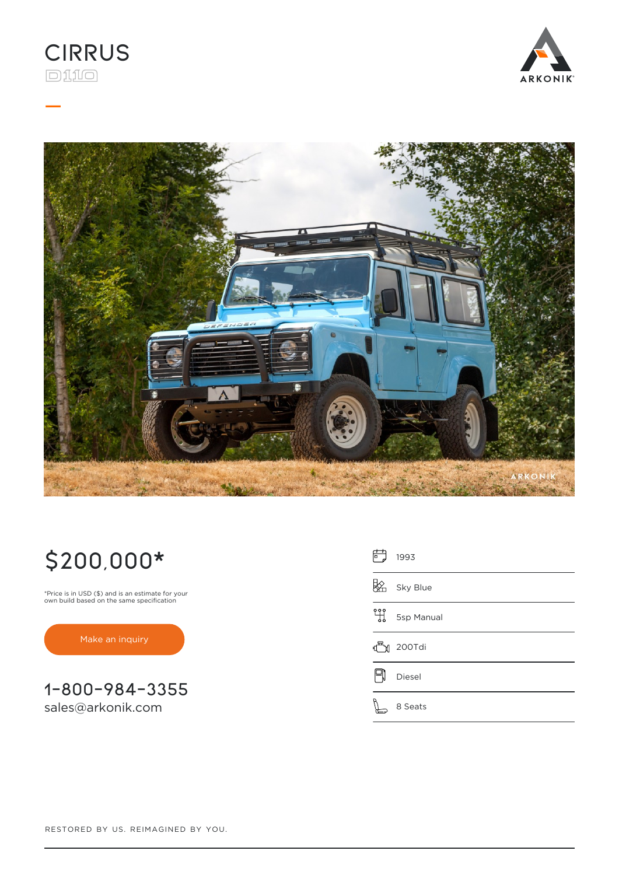

**\_**





# **\$200,000\***

\*Price is in USD (\$) and is an estimate for your own build based on the same specification

[Make an inquiry](https://www.arkonik.com/custom-defenders/611/cirrus-land-rover-d110-defender/#inquiry)

**1-800-984-3355** [sales@arkonik.com](mailto:sales@arkonik.com)

| 高<br>1993       |
|-----------------|
| Sky Blue        |
| 밲<br>5sp Manual |
| 200Tdi          |
| Diesel          |
| 8 Seats         |

RESTORED BY US. REIMAGINED BY YOU.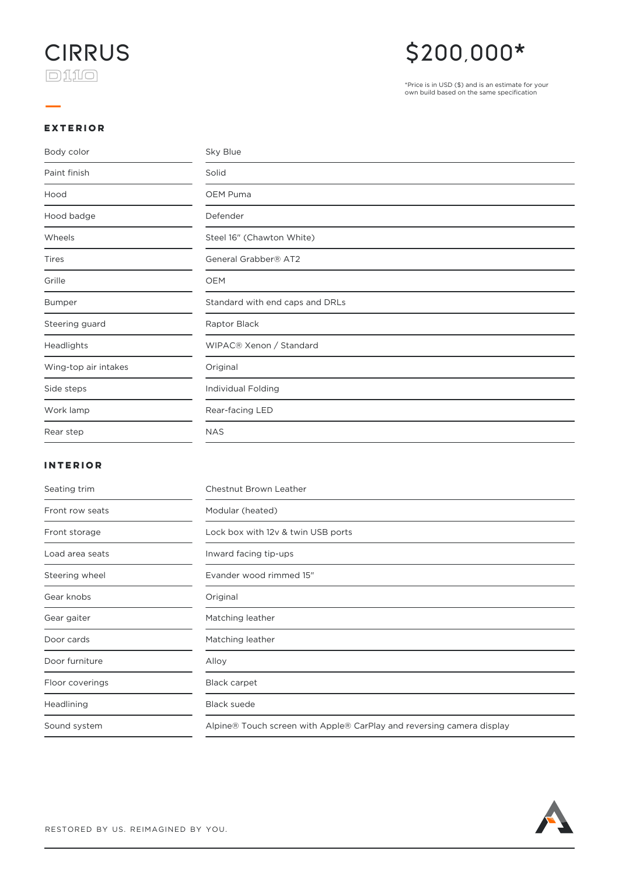

### **\$200,000\***

\*Price is in USD (\$) and is an estimate for your own build based on the same specification

#### **EXTERIOR**

**\_**

| Body color           | Sky Blue                        |
|----------------------|---------------------------------|
| Paint finish         | Solid                           |
| Hood                 | OEM Puma                        |
| Hood badge           | Defender                        |
| Wheels               | Steel 16" (Chawton White)       |
| Tires                | General Grabber® AT2            |
| Grille               | <b>OEM</b>                      |
| <b>Bumper</b>        | Standard with end caps and DRLs |
| Steering guard       | Raptor Black                    |
| Headlights           | WIPAC® Xenon / Standard         |
| Wing-top air intakes | Original                        |
| Side steps           | Individual Folding              |
| Work lamp            | Rear-facing LED                 |
| Rear step            | <b>NAS</b>                      |

### **INTERIOR**

| Seating trim    | Chestnut Brown Leather                                                |
|-----------------|-----------------------------------------------------------------------|
| Front row seats | Modular (heated)                                                      |
| Front storage   | Lock box with 12v & twin USB ports                                    |
| Load area seats | Inward facing tip-ups                                                 |
| Steering wheel  | Evander wood rimmed 15"                                               |
| Gear knobs      | Original                                                              |
| Gear gaiter     | Matching leather                                                      |
| Door cards      | Matching leather                                                      |
| Door furniture  | Alloy                                                                 |
| Floor coverings | <b>Black carpet</b>                                                   |
| Headlining      | <b>Black suede</b>                                                    |
| Sound system    | Alpine® Touch screen with Apple® CarPlay and reversing camera display |